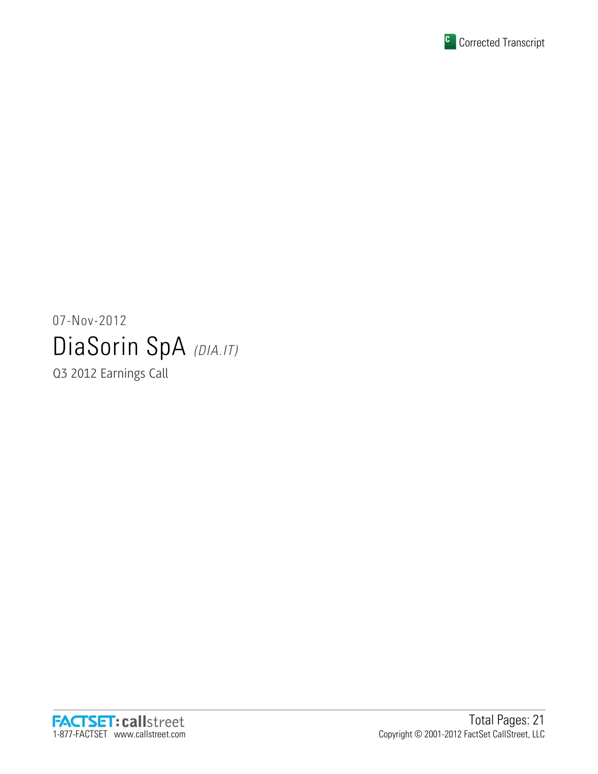

# 07-Nov-2012 DiaSorin SpA (DIA.IT)

Q3 2012 Earnings Call

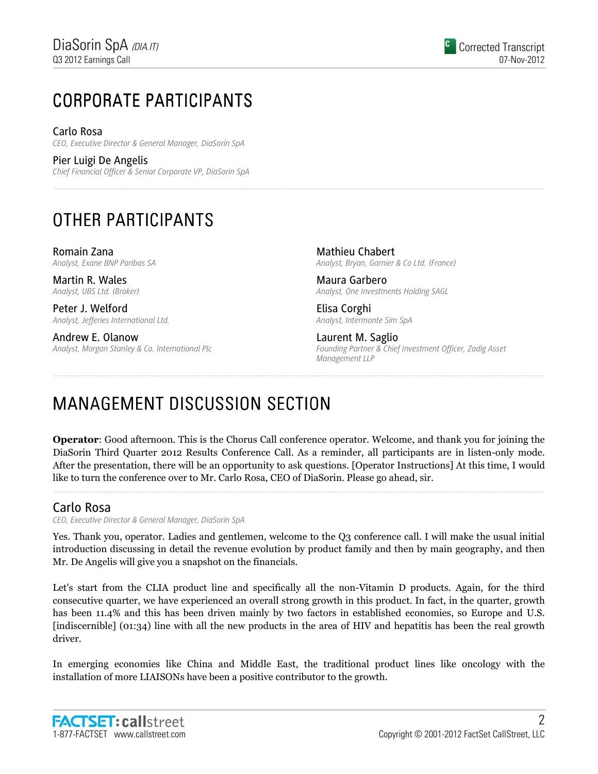# CORPORATE PARTICIPANTS CORPORATE PARTICIPANTS

Carlo Rosa CEO, Executive Director & General Manager, DiaSorin SpA

Pier Luigi De Angelis Chief Financial Officer & Senior Corporate VP, DiaSorin SpA

# OTHER PARTICIPANTS

Romain Zana Analyst, Exane BNP Paribas SA

Martin R. Wales Analyst, UBS Ltd. (Broker)

Peter J. Welford Analyst, Jefferies International Ltd.

Andrew E. Olanow Analyst, Morgan Stanley & Co. International Plc

Mathieu Chabert Analyst, Bryan, Garnier & Co Ltd. (France)

Maura Garbero Analyst, One Investments Holding SAGL

Elisa Corghi Analyst, Intermonte Sim SpA

Laurent M. Saglio Founding Partner & Chief Investment Officer, Zadig Asset Management LLP

# MANAGEMENT DISCUSSION SECTION

Operator: Good afternoon. This is the Chorus Call conference operator. Welcome, and thank you for joining the DiaSorin Third Quarter 2012 Results Conference Call. As a reminder, all participants are in listen-only mode. After the presentation, there will be an opportunity to ask questions. [Operator Instructions] At this time, I would like to turn the conference over to Mr. Carlo Rosa, CEO of DiaSorin. Please go ahead, sir.

# Carlo Rosa

CEO, Executive Director & General Manager, DiaSorin SpA

Yes. Thank you, operator. Ladies and gentlemen, welcome to the Q3 conference call. I will make the usual initial introduction discussing in detail the revenue evolution by product family and then by main geography, and then Mr. De Angelis will give you a snapshot on the financials.

Let's start from the CLIA product line and specifically all the non-Vitamin D products. Again, for the third consecutive quarter, we have experienced an overall strong growth in this product. In fact, in the quarter, growth has been 11.4% and this has been driven mainly by two factors in established economies, so Europe and U.S. [indiscernible] (01:34) line with all the new products in the area of HIV and hepatitis has been the real growth driver.

In emerging economies like China and Middle East, the traditional product lines like oncology with the installation of more LIAISONs have been a positive contributor to the growth.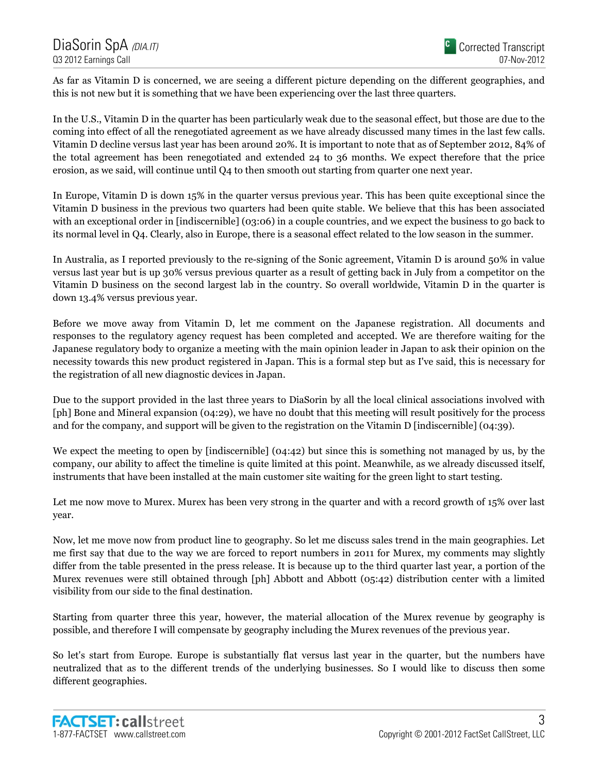As far as Vitamin D is concerned, we are seeing a different picture depending on the different geographies, and this is not new but it is something that we have been experiencing over the last three quarters.

In the U.S., Vitamin D in the quarter has been particularly weak due to the seasonal effect, but those are due to the coming into effect of all the renegotiated agreement as we have already discussed many times in the last few calls. Vitamin D decline versus last year has been around 20%. It is important to note that as of September 2012, 84% of the total agreement has been renegotiated and extended 24 to 36 months. We expect therefore that the price erosion, as we said, will continue until Q4 to then smooth out starting from quarter one next year.

In Europe, Vitamin D is down 15% in the quarter versus previous year. This has been quite exceptional since the Vitamin D business in the previous two quarters had been quite stable. We believe that this has been associated with an exceptional order in [indiscernible] (03:06) in a couple countries, and we expect the business to go back to its normal level in Q4. Clearly, also in Europe, there is a seasonal effect related to the low season in the summer.

In Australia, as I reported previously to the re-signing of the Sonic agreement, Vitamin D is around 50% in value versus last year but is up 30% versus previous quarter as a result of getting back in July from a competitor on the Vitamin D business on the second largest lab in the country. So overall worldwide, Vitamin D in the quarter is down 13.4% versus previous year.

Before we move away from Vitamin D, let me comment on the Japanese registration. All documents and responses to the regulatory agency request has been completed and accepted. We are therefore waiting for the Japanese regulatory body to organize a meeting with the main opinion leader in Japan to ask their opinion on the necessity towards this new product registered in Japan. This is a formal step but as I've said, this is necessary for the registration of all new diagnostic devices in Japan.

Due to the support provided in the last three years to DiaSorin by all the local clinical associations involved with [ph] Bone and Mineral expansion (04:29), we have no doubt that this meeting will result positively for the process and for the company, and support will be given to the registration on the Vitamin D [indiscernible] (04:39).

We expect the meeting to open by [indiscernible] (04:42) but since this is something not managed by us, by the company, our ability to affect the timeline is quite limited at this point. Meanwhile, as we already discussed itself, instruments that have been installed at the main customer site waiting for the green light to start testing.

Let me now move to Murex. Murex has been very strong in the quarter and with a record growth of 15% over last year.

Now, let me move now from product line to geography. So let me discuss sales trend in the main geographies. Let me first say that due to the way we are forced to report numbers in 2011 for Murex, my comments may slightly differ from the table presented in the press release. It is because up to the third quarter last year, a portion of the Murex revenues were still obtained through [ph] Abbott and Abbott (05:42) distribution center with a limited visibility from our side to the final destination.

Starting from quarter three this year, however, the material allocation of the Murex revenue by geography is possible, and therefore I will compensate by geography including the Murex revenues of the previous year.

So let's start from Europe. Europe is substantially flat versus last year in the quarter, but the numbers have neutralized that as to the different trends of the underlying businesses. So I would like to discuss then some different geographies.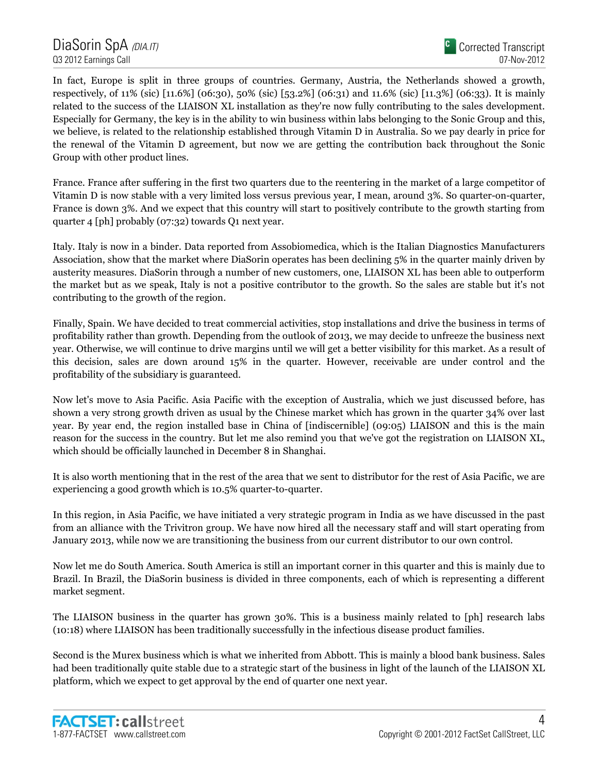In fact, Europe is split in three groups of countries. Germany, Austria, the Netherlands showed a growth, respectively, of 11% (sic) [11.6%] (06:30), 50% (sic) [53.2%] (06:31) and 11.6% (sic) [11.3%] (06:33). It is mainly related to the success of the LIAISON XL installation as they're now fully contributing to the sales development. Especially for Germany, the key is in the ability to win business within labs belonging to the Sonic Group and this, we believe, is related to the relationship established through Vitamin D in Australia. So we pay dearly in price for the renewal of the Vitamin D agreement, but now we are getting the contribution back throughout the Sonic Group with other product lines.

France. France after suffering in the first two quarters due to the reentering in the market of a large competitor of Vitamin D is now stable with a very limited loss versus previous year, I mean, around 3%. So quarter-on-quarter, France is down 3%. And we expect that this country will start to positively contribute to the growth starting from quarter 4 [ph] probably (07:32) towards Q1 next year.

Italy. Italy is now in a binder. Data reported from Assobiomedica, which is the Italian Diagnostics Manufacturers Association, show that the market where DiaSorin operates has been declining 5% in the quarter mainly driven by austerity measures. DiaSorin through a number of new customers, one, LIAISON XL has been able to outperform the market but as we speak, Italy is not a positive contributor to the growth. So the sales are stable but it's not contributing to the growth of the region.

Finally, Spain. We have decided to treat commercial activities, stop installations and drive the business in terms of profitability rather than growth. Depending from the outlook of 2013, we may decide to unfreeze the business next year. Otherwise, we will continue to drive margins until we will get a better visibility for this market. As a result of this decision, sales are down around 15% in the quarter. However, receivable are under control and the profitability of the subsidiary is guaranteed.

Now let's move to Asia Pacific. Asia Pacific with the exception of Australia, which we just discussed before, has shown a very strong growth driven as usual by the Chinese market which has grown in the quarter 34% over last year. By year end, the region installed base in China of [indiscernible] (09:05) LIAISON and this is the main reason for the success in the country. But let me also remind you that we've got the registration on LIAISON XL, which should be officially launched in December 8 in Shanghai.

It is also worth mentioning that in the rest of the area that we sent to distributor for the rest of Asia Pacific, we are experiencing a good growth which is 10.5% quarter-to-quarter.

In this region, in Asia Pacific, we have initiated a very strategic program in India as we have discussed in the past from an alliance with the Trivitron group. We have now hired all the necessary staff and will start operating from January 2013, while now we are transitioning the business from our current distributor to our own control.

Now let me do South America. South America is still an important corner in this quarter and this is mainly due to Brazil. In Brazil, the DiaSorin business is divided in three components, each of which is representing a different market segment.

The LIAISON business in the quarter has grown 30%. This is a business mainly related to [ph] research labs (10:18) where LIAISON has been traditionally successfully in the infectious disease product families.

Second is the Murex business which is what we inherited from Abbott. This is mainly a blood bank business. Sales had been traditionally quite stable due to a strategic start of the business in light of the launch of the LIAISON XL platform, which we expect to get approval by the end of quarter one next year.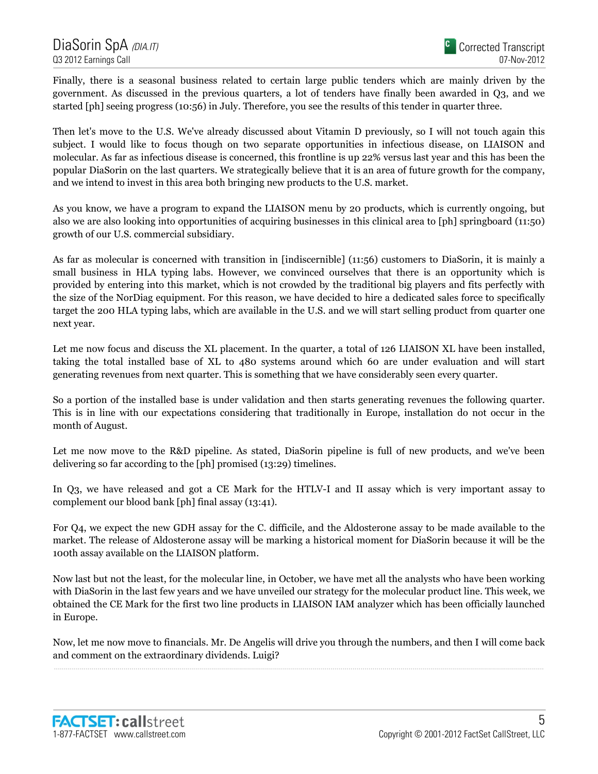Finally, there is a seasonal business related to certain large public tenders which are mainly driven by the government. As discussed in the previous quarters, a lot of tenders have finally been awarded in Q3, and we started [ph] seeing progress (10:56) in July. Therefore, you see the results of this tender in quarter three.

Then let's move to the U.S. We've already discussed about Vitamin D previously, so I will not touch again this subject. I would like to focus though on two separate opportunities in infectious disease, on LIAISON and molecular. As far as infectious disease is concerned, this frontline is up 22% versus last year and this has been the popular DiaSorin on the last quarters. We strategically believe that it is an area of future growth for the company, and we intend to invest in this area both bringing new products to the U.S. market.

As you know, we have a program to expand the LIAISON menu by 20 products, which is currently ongoing, but also we are also looking into opportunities of acquiring businesses in this clinical area to [ph] springboard (11:50) growth of our U.S. commercial subsidiary.

As far as molecular is concerned with transition in [indiscernible] (11:56) customers to DiaSorin, it is mainly a small business in HLA typing labs. However, we convinced ourselves that there is an opportunity which is provided by entering into this market, which is not crowded by the traditional big players and fits perfectly with the size of the NorDiag equipment. For this reason, we have decided to hire a dedicated sales force to specifically target the 200 HLA typing labs, which are available in the U.S. and we will start selling product from quarter one next year.

Let me now focus and discuss the XL placement. In the quarter, a total of 126 LIAISON XL have been installed, taking the total installed base of XL to 480 systems around which 60 are under evaluation and will start generating revenues from next quarter. This is something that we have considerably seen every quarter.

So a portion of the installed base is under validation and then starts generating revenues the following quarter. This is in line with our expectations considering that traditionally in Europe, installation do not occur in the month of August.

Let me now move to the R&D pipeline. As stated, DiaSorin pipeline is full of new products, and we've been delivering so far according to the [ph] promised (13:29) timelines.

In Q3, we have released and got a CE Mark for the HTLV-I and II assay which is very important assay to complement our blood bank [ph] final assay (13:41).

For Q4, we expect the new GDH assay for the C. difficile, and the Aldosterone assay to be made available to the market. The release of Aldosterone assay will be marking a historical moment for DiaSorin because it will be the 100th assay available on the LIAISON platform.

Now last but not the least, for the molecular line, in October, we have met all the analysts who have been working with DiaSorin in the last few years and we have unveiled our strategy for the molecular product line. This week, we obtained the CE Mark for the first two line products in LIAISON IAM analyzer which has been officially launched in Europe.

Now, let me now move to financials. Mr. De Angelis will drive you through the numbers, and then I will come back and comment on the extraordinary dividends. Luigi?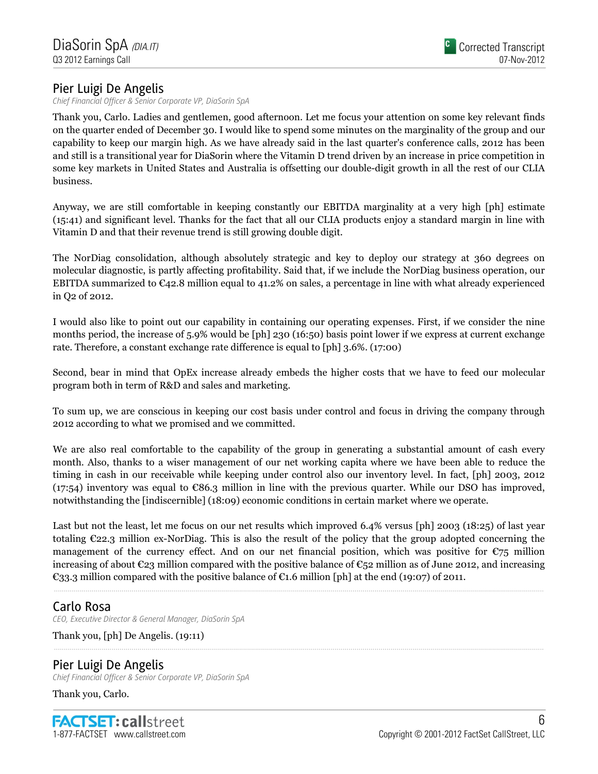# Pier Luigi De Angelis

Chief Financial Officer & Senior Corporate VP, DiaSorin SpA

Thank you, Carlo. Ladies and gentlemen, good afternoon. Let me focus your attention on some key relevant finds on the quarter ended of December 30. I would like to spend some minutes on the marginality of the group and our capability to keep our margin high. As we have already said in the last quarter's conference calls, 2012 has been and still is a transitional year for DiaSorin where the Vitamin D trend driven by an increase in price competition in some key markets in United States and Australia is offsetting our double-digit growth in all the rest of our CLIA business.

Anyway, we are still comfortable in keeping constantly our EBITDA marginality at a very high [ph] estimate (15:41) and significant level. Thanks for the fact that all our CLIA products enjoy a standard margin in line with Vitamin D and that their revenue trend is still growing double digit.

The NorDiag consolidation, although absolutely strategic and key to deploy our strategy at 360 degrees on molecular diagnostic, is partly affecting profitability. Said that, if we include the NorDiag business operation, our EBITDA summarized to  $\epsilon_{42.8}$  million equal to 41.2% on sales, a percentage in line with what already experienced in Q2 of 2012.

I would also like to point out our capability in containing our operating expenses. First, if we consider the nine months period, the increase of 5.9% would be [ph] 230 (16:50) basis point lower if we express at current exchange rate. Therefore, a constant exchange rate difference is equal to [ph] 3.6%. (17:00)

Second, bear in mind that OpEx increase already embeds the higher costs that we have to feed our molecular program both in term of R&D and sales and marketing.

To sum up, we are conscious in keeping our cost basis under control and focus in driving the company through 2012 according to what we promised and we committed.

We are also real comfortable to the capability of the group in generating a substantial amount of cash every month. Also, thanks to a wiser management of our net working capita where we have been able to reduce the timing in cash in our receivable while keeping under control also our inventory level. In fact, [ph] 2003, 2012  $(17:54)$  inventory was equal to  $\mathfrak{E}86.3$  million in line with the previous quarter. While our DSO has improved, notwithstanding the [indiscernible] (18:09) economic conditions in certain market where we operate.

Last but not the least, let me focus on our net results which improved 6.4% versus [ph] 2003 (18:25) of last year totaling €22.3 million ex-NorDiag. This is also the result of the policy that the group adopted concerning the management of the currency effect. And on our net financial position, which was positive for  $\epsilon_{75}$  million increasing of about  $\mathfrak{C}_2$ 3 million compared with the positive balance of  $\mathfrak{C}_5$ 2 million as of June 2012, and increasing €33.3 million compared with the positive balance of €1.6 million [ph] at the end (19:07) of 2011.

# Carlo Rosa

CEO, Executive Director & General Manager, DiaSorin SpA

Thank you, [ph] De Angelis. (19:11)

# Pier Luigi De Angelis

Chief Financial Officer & Senior Corporate VP, DiaSorin SpA

Thank you, Carlo.

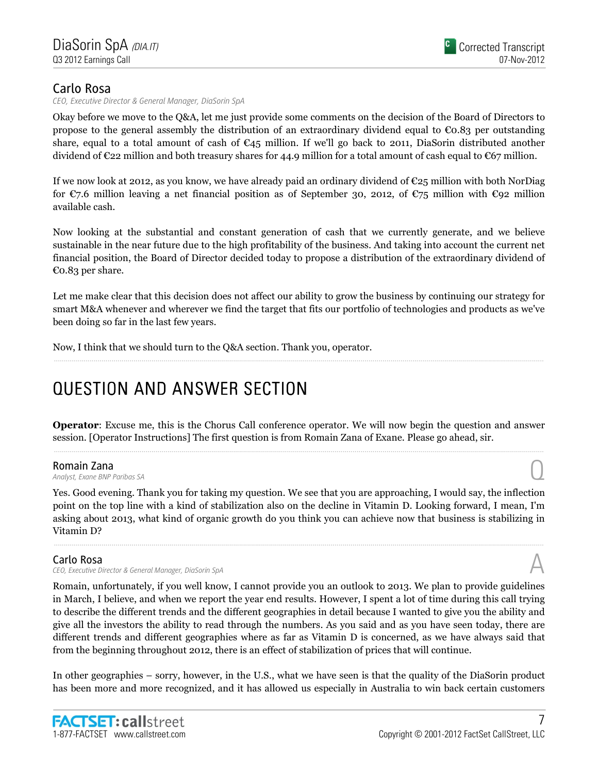CEO, Executive Director & General Manager, DiaSorin SpA

Okay before we move to the Q&A, let me just provide some comments on the decision of the Board of Directors to propose to the general assembly the distribution of an extraordinary dividend equal to  $\epsilon$ 0.83 per outstanding share, equal to a total amount of cash of  $\epsilon_{45}$  million. If we'll go back to 2011, DiaSorin distributed another dividend of  $\epsilon$ 22 million and both treasury shares for 44.9 million for a total amount of cash equal to  $\epsilon$ 67 million.

If we now look at 2012, as you know, we have already paid an ordinary dividend of  $\mathfrak{C}25$  million with both NorDiag for  $\mathfrak{C}7.6$  million leaving a net financial position as of September 30, 2012, of  $\mathfrak{C}75$  million with  $\mathfrak{C}92$  million available cash.

Now looking at the substantial and constant generation of cash that we currently generate, and we believe sustainable in the near future due to the high profitability of the business. And taking into account the current net financial position, the Board of Director decided today to propose a distribution of the extraordinary dividend of €0.83 per share.

Let me make clear that this decision does not affect our ability to grow the business by continuing our strategy for smart M&A whenever and wherever we find the target that fits our portfolio of technologies and products as we've been doing so far in the last few years.

Now, I think that we should turn to the Q&A section. Thank you, operator.

# QUESTION AND ANSWER SECTION QUESTION AND ANSWER

Operator: Excuse me, this is the Chorus Call conference operator. We will now begin the question and answer session. [Operator Instructions] The first question is from Romain Zana of Exane. Please go ahead, sir.

Romain Zana<br>Analyst, Exane BNP Paribas SA **Romain Zana**<br>Analyst, Exane BNP Paribas SA  $\bigodot$ 

Yes. Good evening. Thank you for taking my question. We see that you are approaching, I would say, the inflection point on the top line with a kind of stabilization also on the decline in Vitamin D. Looking forward, I mean, I'm asking about 2013, what kind of organic growth do you think you can achieve now that business is stabilizing in Vitamin D?

### Carlo Rosa

CEO, Executive Director & General Manager, DiaSorin SpA

Romain, unfortunately, if you well know, I cannot provide you an outlook to 2013. We plan to provide guidelines in March, I believe, and when we report the year end results. However, I spent a lot of time during this call trying to describe the different trends and the different geographies in detail because I wanted to give you the ability and give all the investors the ability to read through the numbers. As you said and as you have seen today, there are different trends and different geographies where as far as Vitamin D is concerned, as we have always said that from the beginning throughout 2012, there is an effect of stabilization of prices that will continue.

In other geographies – sorry, however, in the U.S., what we have seen is that the quality of the DiaSorin product has been more and more recognized, and it has allowed us especially in Australia to win back certain customers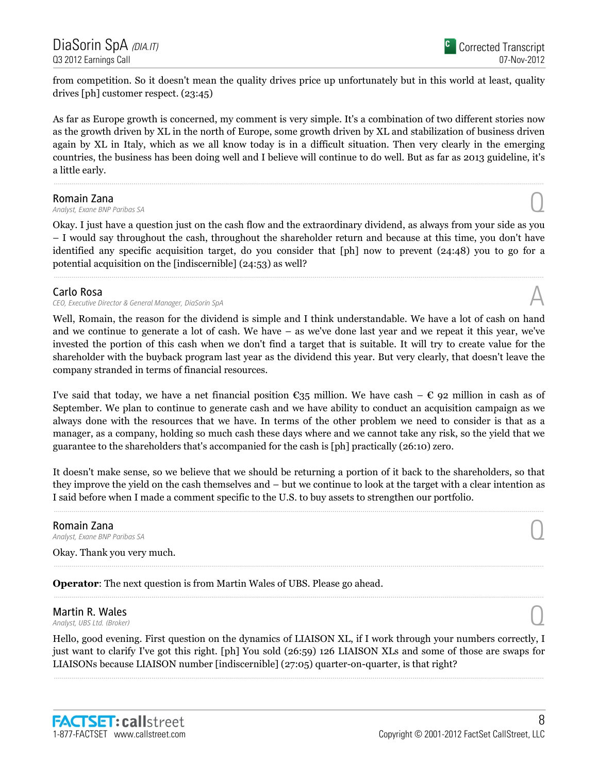DiaSorin SpA <sub>(DIA.IT)</sub> Q3 2012 Earnings Call

from competition. So it doesn't mean the quality drives price up unfortunately but in this world at least, quality drives [ph] customer respect. (23:45)

As far as Europe growth is concerned, my comment is very simple. It's a combination of two different stories now as the growth driven by XL in the north of Europe, some growth driven by XL and stabilization of business driven again by XL in Italy, which as we all know today is in a difficult situation. Then very clearly in the emerging countries, the business has been doing well and I believe will continue to do well. But as far as 2013 guideline, it's a little early.

**Romain Zana**<br>Analyst, Exane BNP Paribas SA **Romain Zana**<br>Analyst, Exane BNP Paribas SA  $\bigodot$ 

Okay. I just have a question just on the cash flow and the extraordinary dividend, as always from your side as you – I would say throughout the cash, throughout the shareholder return and because at this time, you don't have identified any specific acquisition target, do you consider that [ph] now to prevent (24:48) you to go for a potential acquisition on the [indiscernible] (24:53) as well?

### Carlo Rosa

CEO, Executive Director & General Manager, DiaSorin SpA

Well, Romain, the reason for the dividend is simple and I think understandable. We have a lot of cash on hand and we continue to generate a lot of cash. We have – as we've done last year and we repeat it this year, we've invested the portion of this cash when we don't find a target that is suitable. It will try to create value for the shareholder with the buyback program last year as the dividend this year. But very clearly, that doesn't leave the company stranded in terms of financial resources.

I've said that today, we have a net financial position  $\epsilon_{35}$  million. We have cash –  $\epsilon$  92 million in cash as of September. We plan to continue to generate cash and we have ability to conduct an acquisition campaign as we always done with the resources that we have. In terms of the other problem we need to consider is that as a manager, as a company, holding so much cash these days where and we cannot take any risk, so the yield that we guarantee to the shareholders that's accompanied for the cash is [ph] practically (26:10) zero.

It doesn't make sense, so we believe that we should be returning a portion of it back to the shareholders, so that they improve the yield on the cash themselves and – but we continue to look at the target with a clear intention as I said before when I made a comment specific to the U.S. to buy assets to strengthen our portfolio.

# **Romain Zana**<br>Analyst, Exane BNP Paribas SA **Romain Zana**<br>Analyst, Exane BNP Paribas SA  $\bigodot$

Okay. Thank you very much.

Operator: The next question is from Martin Wales of UBS. Please go ahead.

# **Martin R. Wales**<br>Analyst, UBS Ltd. (Broker) **Martin R. Wales**  $\bigcirc$  **Q** analyst, UBS Ltd. (Broker)

Hello, good evening. First question on the dynamics of LIAISON XL, if I work through your numbers correctly, I just want to clarify I've got this right. [ph] You sold (26:59) 126 LIAISON XLs and some of those are swaps for LIAISONs because LIAISON number [indiscernible] (27:05) quarter-on-quarter, is that right?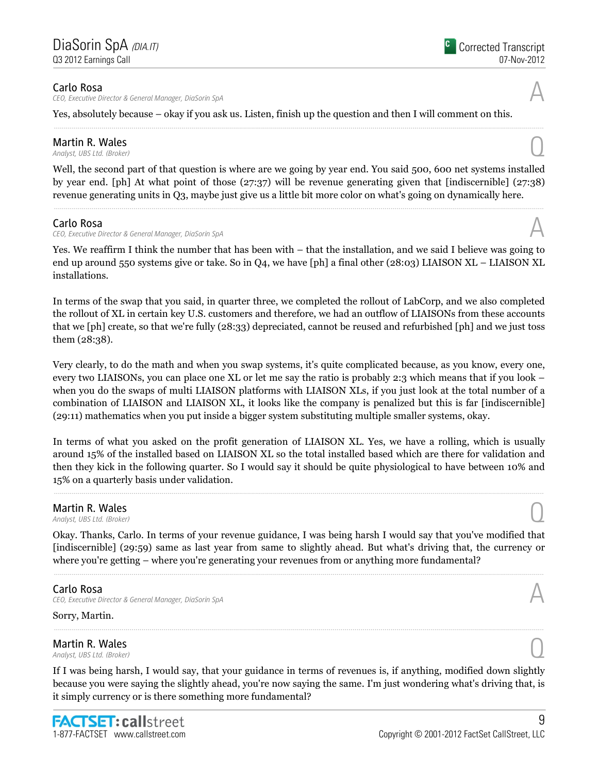CEO, Executive Director & General Manager, DiaSorin SpA

Yes, absolutely because – okay if you ask us. Listen, finish up the question and then I will comment on this.

# **Martin R. Wales**<br>Analyst, UBS Ltd. (Broker) **Martin R. Wales**  $\bigcirc$  **Q** analyst, UBS Ltd. (Broker)

Well, the second part of that question is where are we going by year end. You said 500, 600 net systems installed by year end. [ph] At what point of those (27:37) will be revenue generating given that [indiscernible] (27:38) revenue generating units in Q3, maybe just give us a little bit more color on what's going on dynamically here.

### Carlo Rosa

**Carlo Rosa**<br>CEO, Executive Director & General Manager, DiaSorin SpA  $\mathcal{A}$ 

Yes. We reaffirm I think the number that has been with – that the installation, and we said I believe was going to end up around 550 systems give or take. So in Q4, we have [ph] a final other (28:03) LIAISON XL – LIAISON XL installations.

In terms of the swap that you said, in quarter three, we completed the rollout of LabCorp, and we also completed the rollout of XL in certain key U.S. customers and therefore, we had an outflow of LIAISONs from these accounts that we [ph] create, so that we're fully (28:33) depreciated, cannot be reused and refurbished [ph] and we just toss them (28:38).

Very clearly, to do the math and when you swap systems, it's quite complicated because, as you know, every one, every two LIAISONs, you can place one XL or let me say the ratio is probably 2:3 which means that if you look – when you do the swaps of multi LIAISON platforms with LIAISON XLs, if you just look at the total number of a combination of LIAISON and LIAISON XL, it looks like the company is penalized but this is far [indiscernible] (29:11) mathematics when you put inside a bigger system substituting multiple smaller systems, okay.

In terms of what you asked on the profit generation of LIAISON XL. Yes, we have a rolling, which is usually around 15% of the installed based on LIAISON XL so the total installed based which are there for validation and then they kick in the following quarter. So I would say it should be quite physiological to have between 10% and 15% on a quarterly basis under validation.

# **Martin R. Wales**<br>Analyst, UBS Ltd. (Broker) **Martin R. Wales**  $\bigcirc$  **Q** analyst, UBS Ltd. (Broker)

Okay. Thanks, Carlo. In terms of your revenue guidance, I was being harsh I would say that you've modified that [indiscernible] (29:59) same as last year from same to slightly ahead. But what's driving that, the currency or where you're getting – where you're generating your revenues from or anything more fundamental?

### Carlo Rosa

CEO, Executive Director & General Manager, DiaSorin SpA

Sorry, Martin.

**Martin R. Wales**<br>Analyst, UBS Ltd. (Broker) **Martin R. Wales**  $\bigcirc$  **Q** analyst, UBS Ltd. (Broker)

If I was being harsh, I would say, that your guidance in terms of revenues is, if anything, modified down slightly because you were saying the slightly ahead, you're now saying the same. I'm just wondering what's driving that, is it simply currency or is there something more fundamental?





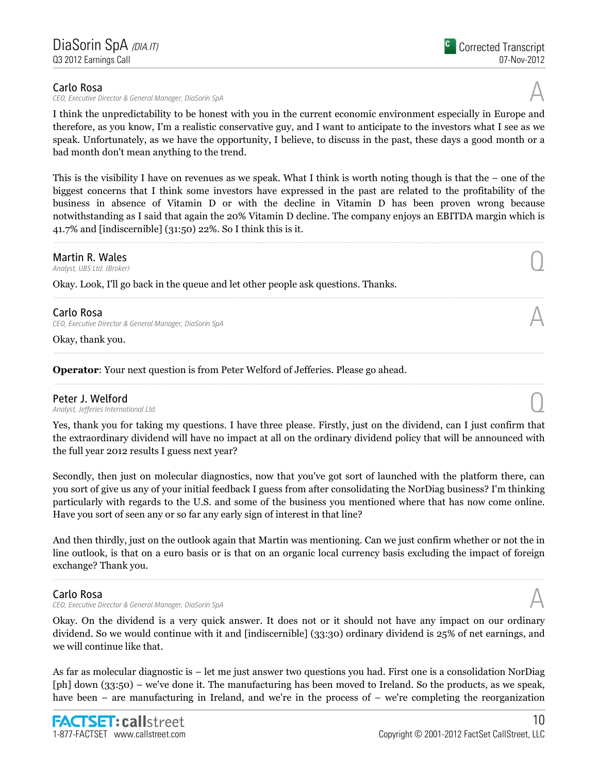CEO, Executive Director & General Manager, DiaSorin SpA

I think the unpredictability to be honest with you in the current economic environment especially in Europe and therefore, as you know, I'm a realistic conservative guy, and I want to anticipate to the investors what I see as we speak. Unfortunately, as we have the opportunity, I believe, to discuss in the past, these days a good month or a bad month don't mean anything to the trend.

This is the visibility I have on revenues as we speak. What I think is worth noting though is that the – one of the biggest concerns that I think some investors have expressed in the past are related to the profitability of the business in absence of Vitamin D or with the decline in Vitamin D has been proven wrong because notwithstanding as I said that again the 20% Vitamin D decline. The company enjoys an EBITDA margin which is 41.7% and [indiscernible] (31:50) 22%. So I think this is it.

**Martin R. Wales**<br>Analyst, UBS Ltd. (Broker) **Martin R. Wales**  $\bigcirc$  **Q** analyst, UBS Ltd. (Broker)

Okay. Look, I'll go back in the queue and let other people ask questions. Thanks.

Carlo Rosa CEO, Executive Director & General Manager, DiaSorin SpA

Okay, thank you.

Operator: Your next question is from Peter Welford of Jefferies. Please go ahead.

Peter J. Welford<br>Analyst, Jefferies International Ltd. Peter J. Welford  $\bigcap_{\text{Analytic}.\text{A}\text{radius}$  is international Ltd.

Yes, thank you for taking my questions. I have three please. Firstly, just on the dividend, can I just confirm that the extraordinary dividend will have no impact at all on the ordinary dividend policy that will be announced with the full year 2012 results I guess next year?

Secondly, then just on molecular diagnostics, now that you've got sort of launched with the platform there, can you sort of give us any of your initial feedback I guess from after consolidating the NorDiag business? I'm thinking particularly with regards to the U.S. and some of the business you mentioned where that has now come online. Have you sort of seen any or so far any early sign of interest in that line?

And then thirdly, just on the outlook again that Martin was mentioning. Can we just confirm whether or not the in line outlook, is that on a euro basis or is that on an organic local currency basis excluding the impact of foreign exchange? Thank you.

### Carlo Rosa

CEO, Executive Director & General Manager, DiaSorin SpA

Okay. On the dividend is a very quick answer. It does not or it should not have any impact on our ordinary dividend. So we would continue with it and [indiscernible] (33:30) ordinary dividend is 25% of net earnings, and we will continue like that.

As far as molecular diagnostic is – let me just answer two questions you had. First one is a consolidation NorDiag [ph] down (33:50) – we've done it. The manufacturing has been moved to Ireland. So the products, as we speak, have been – are manufacturing in Ireland, and we're in the process of – we're completing the reorganization

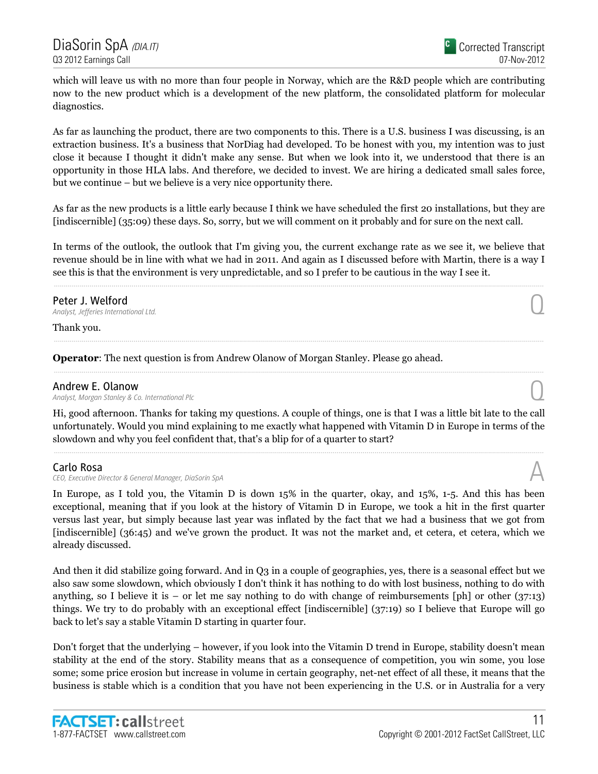which will leave us with no more than four people in Norway, which are the R&D people which are contributing now to the new product which is a development of the new platform, the consolidated platform for molecular diagnostics.

As far as launching the product, there are two components to this. There is a U.S. business I was discussing, is an extraction business. It's a business that NorDiag had developed. To be honest with you, my intention was to just close it because I thought it didn't make any sense. But when we look into it, we understood that there is an opportunity in those HLA labs. And therefore, we decided to invest. We are hiring a dedicated small sales force, but we continue – but we believe is a very nice opportunity there.

As far as the new products is a little early because I think we have scheduled the first 20 installations, but they are [indiscernible] (35:09) these days. So, sorry, but we will comment on it probably and for sure on the next call.

In terms of the outlook, the outlook that I'm giving you, the current exchange rate as we see it, we believe that revenue should be in line with what we had in 2011. And again as I discussed before with Martin, there is a way I see this is that the environment is very unpredictable, and so I prefer to be cautious in the way I see it.

# **Peter J. Welford**<br>Analyst, Jefferies International Ltd. Peter J. Welford  $\bigcap_{\text{Analytic},\text{Lifferential } Ltd.}$

Thank you.

Operator: The next question is from Andrew Olanow of Morgan Stanley. Please go ahead.

### Andrew E. Olanow

Analyst, Morgan Stanley & Co. International Plc Q

Hi, good afternoon. Thanks for taking my questions. A couple of things, one is that I was a little bit late to the call unfortunately. Would you mind explaining to me exactly what happened with Vitamin D in Europe in terms of the slowdown and why you feel confident that, that's a blip for of a quarter to start?

### Carlo Rosa

CEO, Executive Director & General Manager, DiaSorin SpA

In Europe, as I told you, the Vitamin D is down 15% in the quarter, okay, and 15%, 1-5. And this has been exceptional, meaning that if you look at the history of Vitamin D in Europe, we took a hit in the first quarter versus last year, but simply because last year was inflated by the fact that we had a business that we got from [indiscernible] (36:45) and we've grown the product. It was not the market and, et cetera, et cetera, which we already discussed.

And then it did stabilize going forward. And in Q3 in a couple of geographies, yes, there is a seasonal effect but we also saw some slowdown, which obviously I don't think it has nothing to do with lost business, nothing to do with anything, so I believe it is – or let me say nothing to do with change of reimbursements [ph] or other (37:13) things. We try to do probably with an exceptional effect [indiscernible] (37:19) so I believe that Europe will go back to let's say a stable Vitamin D starting in quarter four.

Don't forget that the underlying – however, if you look into the Vitamin D trend in Europe, stability doesn't mean stability at the end of the story. Stability means that as a consequence of competition, you win some, you lose some; some price erosion but increase in volume in certain geography, net-net effect of all these, it means that the business is stable which is a condition that you have not been experiencing in the U.S. or in Australia for a very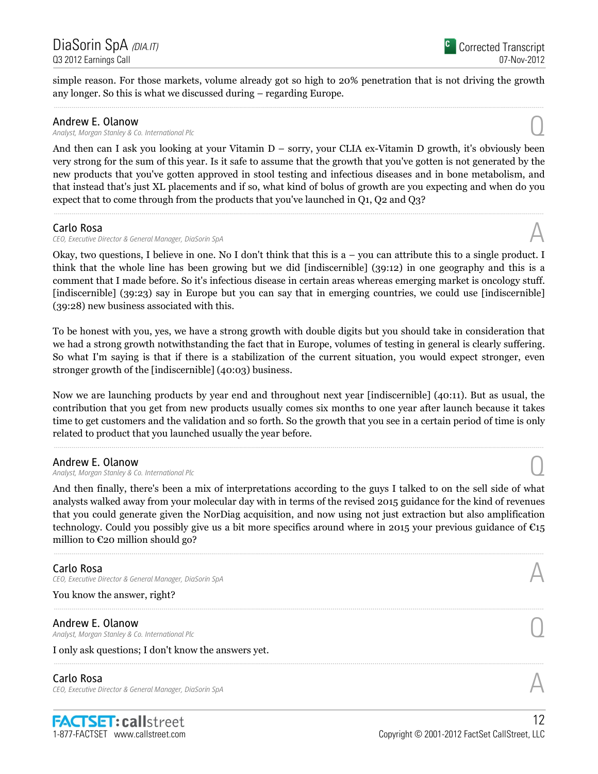simple reason. For those markets, volume already got so high to 20% penetration that is not driving the growth any longer. So this is what we discussed during – regarding Europe.

**Andrew E. Olanow**<br>Analyst, Morgan Stanley & Co. International Plc Andrew E. Olanow<br>Analyst, Morgan Stanley & Co. International Plc  $\bigodot$ 

And then can I ask you looking at your Vitamin D – sorry, your CLIA ex-Vitamin D growth, it's obviously been very strong for the sum of this year. Is it safe to assume that the growth that you've gotten is not generated by the new products that you've gotten approved in stool testing and infectious diseases and in bone metabolism, and that instead that's just XL placements and if so, what kind of bolus of growth are you expecting and when do you expect that to come through from the products that you've launched in Q1, Q2 and Q3?

### Carlo Rosa

CEO, Executive Director & General Manager, DiaSorin SpA

Okay, two questions, I believe in one. No I don't think that this is a – you can attribute this to a single product. I think that the whole line has been growing but we did [indiscernible] (39:12) in one geography and this is a comment that I made before. So it's infectious disease in certain areas whereas emerging market is oncology stuff. [indiscernible] (39:23) say in Europe but you can say that in emerging countries, we could use [indiscernible] (39:28) new business associated with this.

To be honest with you, yes, we have a strong growth with double digits but you should take in consideration that we had a strong growth notwithstanding the fact that in Europe, volumes of testing in general is clearly suffering. So what I'm saying is that if there is a stabilization of the current situation, you would expect stronger, even stronger growth of the [indiscernible] (40:03) business.

Now we are launching products by year end and throughout next year [indiscernible] (40:11). But as usual, the contribution that you get from new products usually comes six months to one year after launch because it takes time to get customers and the validation and so forth. So the growth that you see in a certain period of time is only related to product that you launched usually the year before.

### Andrew E. Olanow

Analyst, Morgan Stanley & Co. International Plc Q

And then finally, there's been a mix of interpretations according to the guys I talked to on the sell side of what analysts walked away from your molecular day with in terms of the revised 2015 guidance for the kind of revenues that you could generate given the NorDiag acquisition, and now using not just extraction but also amplification technology. Could you possibly give us a bit more specifics around where in 2015 your previous guidance of  $\epsilon_{15}$ million to  $\mathfrak{C}$ 20 million should go?

### Carlo Rosa

CEO, Executive Director & General Manager, DiaSorin SpA

You know the answer, right?

**Andrew E. Olanow**<br>Analyst, Morgan Stanley & Co. International Plc Andrew E. Olanow<br>Analyst, Morgan Stanley & Co. International Plc  $\bigodot$ 

I only ask questions; I don't know the answers yet.

### Carlo Rosa

CEO, Executive Director & General Manager, DiaSorin SpA

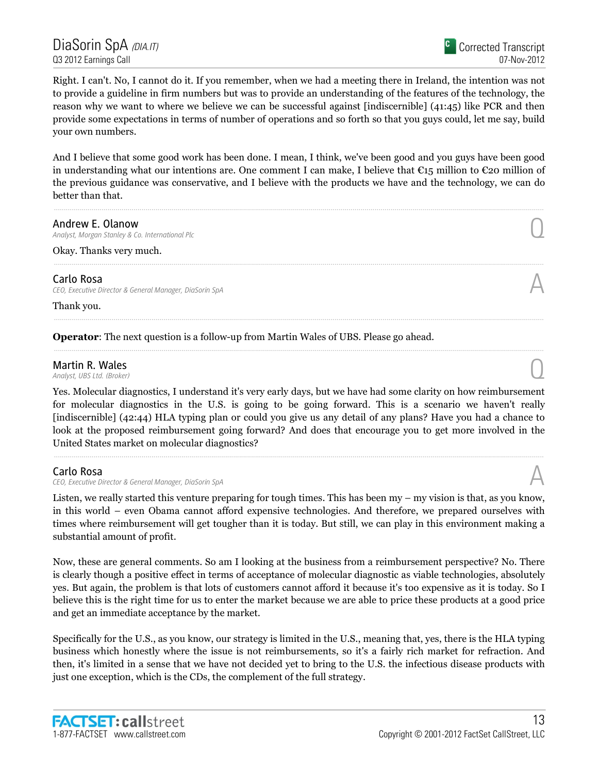Right. I can't. No, I cannot do it. If you remember, when we had a meeting there in Ireland, the intention was not to provide a guideline in firm numbers but was to provide an understanding of the features of the technology, the reason why we want to where we believe we can be successful against [indiscernible] (41:45) like PCR and then provide some expectations in terms of number of operations and so forth so that you guys could, let me say, build your own numbers.

And I believe that some good work has been done. I mean, I think, we've been good and you guys have been good in understanding what our intentions are. One comment I can make, I believe that €15 million to €20 million of the previous guidance was conservative, and I believe with the products we have and the technology, we can do better than that.

**Andrew E. Olanow**<br>Analyst, Morgan Stanley & Co. International Plc Andrew E. Olanow<br>Analyst, Morgan Stanley & Co. International Plc  $\bigodot$ 

Okay. Thanks very much.

### Carlo Rosa

CEO, Executive Director & General Manager, DiaSorin SpA

Thank you.

### Operator: The next question is a follow-up from Martin Wales of UBS. Please go ahead.

# **Martin R. Wales**<br>Analyst, UBS Ltd. (Broker) **Martin R. Wales**  $\bigcirc$  **Q** analyst, UBS Ltd. (Broker)

Yes. Molecular diagnostics, I understand it's very early days, but we have had some clarity on how reimbursement for molecular diagnostics in the U.S. is going to be going forward. This is a scenario we haven't really [indiscernible] (42:44) HLA typing plan or could you give us any detail of any plans? Have you had a chance to look at the proposed reimbursement going forward? And does that encourage you to get more involved in the United States market on molecular diagnostics?

### Carlo Rosa

CEO, Executive Director & General Manager, DiaSorin SpA

Listen, we really started this venture preparing for tough times. This has been my – my vision is that, as you know, in this world – even Obama cannot afford expensive technologies. And therefore, we prepared ourselves with times where reimbursement will get tougher than it is today. But still, we can play in this environment making a substantial amount of profit.

Now, these are general comments. So am I looking at the business from a reimbursement perspective? No. There is clearly though a positive effect in terms of acceptance of molecular diagnostic as viable technologies, absolutely yes. But again, the problem is that lots of customers cannot afford it because it's too expensive as it is today. So I believe this is the right time for us to enter the market because we are able to price these products at a good price and get an immediate acceptance by the market.

Specifically for the U.S., as you know, our strategy is limited in the U.S., meaning that, yes, there is the HLA typing business which honestly where the issue is not reimbursements, so it's a fairly rich market for refraction. And then, it's limited in a sense that we have not decided yet to bring to the U.S. the infectious disease products with just one exception, which is the CDs, the complement of the full strategy.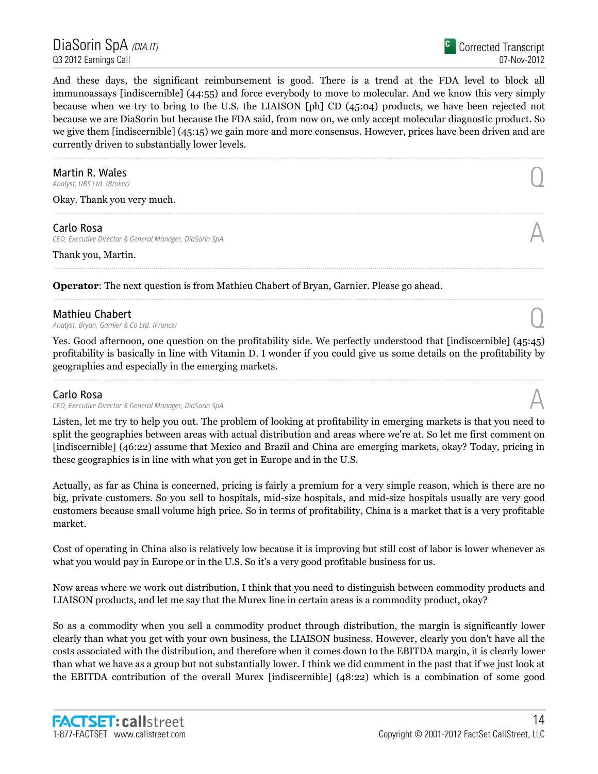DiaSorin SpA <sub>(DIA.IT)</sub> Q3 2012 Earnings Call

And these days, the significant reimbursement is good. There is a trend at the FDA level to block all immunoassays [indiscernible] (44:55) and force everybody to move to molecular. And we know this very simply because when we try to bring to the U.S. the LIAISON [ph] CD (45:04) products, we have been rejected not because we are DiaSorin but because the FDA said, from now on, we only accept molecular diagnostic product. So we give them [indiscernible] (45:15) we gain more and more consensus. However, prices have been driven and are currently driven to substantially lower levels.

# **Martin R. Wales**<br>Analyst, UBS Ltd. (Broker) **Martin R. Wales**  $\bigcirc$  **Q** analyst, UBS Ltd. (Broker)

Okay. Thank you very much.

### Carlo Rosa

CEO, Executive Director & General Manager, DiaSorin SpA

Thank you, Martin.

Operator: The next question is from Mathieu Chabert of Bryan, Garnier. Please go ahead.

**Mathieu Chabert**<br>Analyst, Bryan, Garnier & Co Ltd. (France) **Mathieu Chabert**  $\bigcap_{\text{Analytic},\text{Bryan},\text{Garnier }\& \text{Co Ltd. (France)}$ 

Yes. Good afternoon, one question on the profitability side. We perfectly understood that [indiscernible] (45:45) profitability is basically in line with Vitamin D. I wonder if you could give us some details on the profitability by geographies and especially in the emerging markets.

### Carlo Rosa

CEO, Executive Director & General Manager, DiaSorin SpA

Listen, let me try to help you out. The problem of looking at profitability in emerging markets is that you need to split the geographies between areas with actual distribution and areas where we're at. So let me first comment on [indiscernible] (46:22) assume that Mexico and Brazil and China are emerging markets, okay? Today, pricing in these geographies is in line with what you get in Europe and in the U.S.

Actually, as far as China is concerned, pricing is fairly a premium for a very simple reason, which is there are no big, private customers. So you sell to hospitals, mid-size hospitals, and mid-size hospitals usually are very good customers because small volume high price. So in terms of profitability, China is a market that is a very profitable market.

Cost of operating in China also is relatively low because it is improving but still cost of labor is lower whenever as what you would pay in Europe or in the U.S. So it's a very good profitable business for us.

Now areas where we work out distribution, I think that you need to distinguish between commodity products and LIAISON products, and let me say that the Murex line in certain areas is a commodity product, okay?

So as a commodity when you sell a commodity product through distribution, the margin is significantly lower clearly than what you get with your own business, the LIAISON business. However, clearly you don't have all the costs associated with the distribution, and therefore when it comes down to the EBITDA margin, it is clearly lower than what we have as a group but not substantially lower. I think we did comment in the past that if we just look at the EBITDA contribution of the overall Murex [indiscernible] (48:22) which is a combination of some good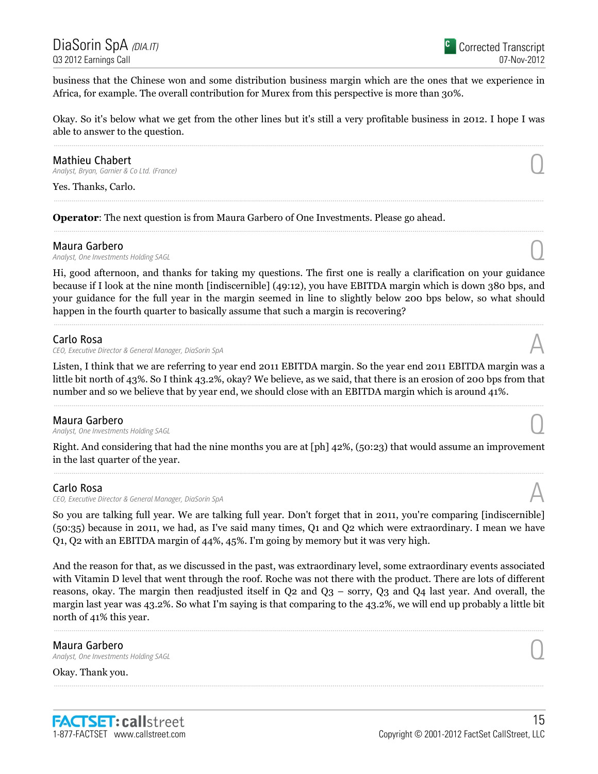business that the Chinese won and some distribution business margin which are the ones that we experience in Africa, for example. The overall contribution for Murex from this perspective is more than 30%.

Okay. So it's below what we get from the other lines but it's still a very profitable business in 2012. I hope I was able to answer to the question.

Mathieu Chabert<br>Analyst, Bryan, Garnier & Co Ltd. (France) **Mathieu Chabert**  $\bigcap_{\text{Analytic},\text{Bryan},\text{Garnier }\& \text{Co Ltd. (France)}$ 

Yes. Thanks, Carlo.

Operator: The next question is from Maura Garbero of One Investments. Please go ahead.

**Maura Garbero**<br>Analyst, One Investments Holding SAGL **Maura Garbero**<br>Analyst, One Investments Holding SAGL  $\bigcup$ 

Hi, good afternoon, and thanks for taking my questions. The first one is really a clarification on your guidance because if I look at the nine month [indiscernible] (49:12), you have EBITDA margin which is down 380 bps, and your guidance for the full year in the margin seemed in line to slightly below 200 bps below, so what should happen in the fourth quarter to basically assume that such a margin is recovering?

### Carlo Rosa

CEO, Executive Director & General Manager, DiaSorin SpA

Listen, I think that we are referring to year end 2011 EBITDA margin. So the year end 2011 EBITDA margin was a little bit north of 43%. So I think 43.2%, okay? We believe, as we said, that there is an erosion of 200 bps from that number and so we believe that by year end, we should close with an EBITDA margin which is around 41%.

**Maura Garbero**<br>Analyst, One Investments Holding SAGL **Maura Garbero**<br>Analyst, One Investments Holding SAGL  $\bigcup$ 

Right. And considering that had the nine months you are at [ph] 42%, (50:23) that would assume an improvement in the last quarter of the year.

### Carlo Rosa

CEO, Executive Director & General Manager, DiaSorin SpA

So you are talking full year. We are talking full year. Don't forget that in 2011, you're comparing [indiscernible] (50:35) because in 2011, we had, as I've said many times, Q1 and Q2 which were extraordinary. I mean we have Q1, Q2 with an EBITDA margin of 44%, 45%. I'm going by memory but it was very high.

And the reason for that, as we discussed in the past, was extraordinary level, some extraordinary events associated with Vitamin D level that went through the roof. Roche was not there with the product. There are lots of different reasons, okay. The margin then readjusted itself in  $Q2$  and  $Q3$  – sorry,  $Q3$  and  $Q4$  last year. And overall, the margin last year was 43.2%. So what I'm saying is that comparing to the 43.2%, we will end up probably a little bit north of 41% this year.

**Maura Garbero**<br>Analyst, One Investments Holding SAGL **Maura Garbero**<br>Analyst, One Investments Holding SAGL  $\bigcup$ 

Okay. Thank you.

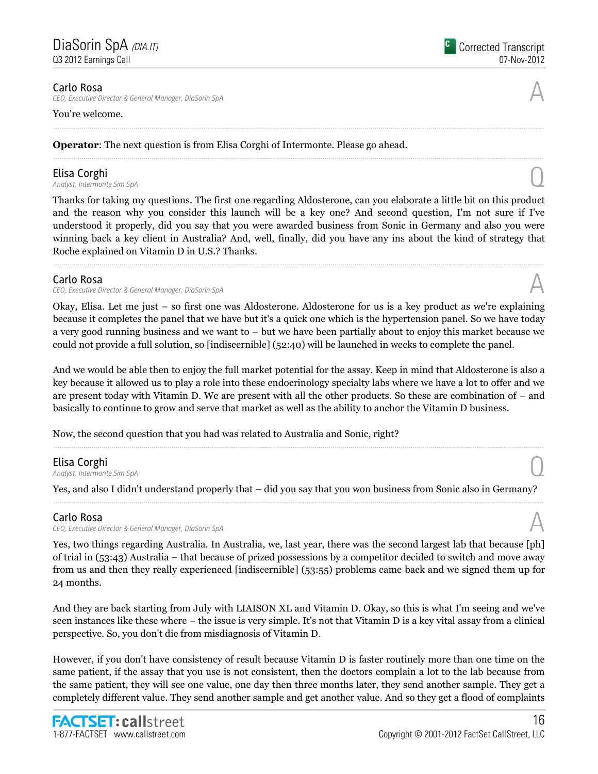CEO, Executive Director & General Manager, DiaSorin SpA

### You're welcome.

Operator: The next question is from Elisa Corghi of Intermonte. Please go ahead.

**Elisa Corghi**<br>Analyst, Intermonte Sim SpA **Elisa Corghi**<br>Analyst, Intermonte Sim SpA  $\bigodot$ 

Thanks for taking my questions. The first one regarding Aldosterone, can you elaborate a little bit on this product and the reason why you consider this launch will be a key one? And second question, I'm not sure if I've understood it properly, did you say that you were awarded business from Sonic in Germany and also you were winning back a key client in Australia? And, well, finally, did you have any ins about the kind of strategy that Roche explained on Vitamin D in U.S.? Thanks.

### Carlo Rosa

CEO, Executive Director & General Manager, DiaSorin SpA

Okay, Elisa. Let me just – so first one was Aldosterone. Aldosterone for us is a key product as we're explaining because it completes the panel that we have but it's a quick one which is the hypertension panel. So we have today a very good running business and we want to – but we have been partially about to enjoy this market because we could not provide a full solution, so [indiscernible] (52:40) will be launched in weeks to complete the panel.

And we would be able then to enjoy the full market potential for the assay. Keep in mind that Aldosterone is also a key because it allowed us to play a role into these endocrinology specialty labs where we have a lot to offer and we are present today with Vitamin D. We are present with all the other products. So these are combination of – and basically to continue to grow and serve that market as well as the ability to anchor the Vitamin D business.

Now, the second question that you had was related to Australia and Sonic, right?

**Elisa Corghi**<br>Analyst, Intermonte Sim SpA **Elisa Corghi**<br>Analyst, Intermonte Sim SpA  $\bigodot$ 

Yes, and also I didn't understand properly that – did you say that you won business from Sonic also in Germany?

### Carlo Rosa

CEO, Executive Director & General Manager, DiaSorin SpA

Yes, two things regarding Australia. In Australia, we, last year, there was the second largest lab that because [ph] of trial in (53:43) Australia – that because of prized possessions by a competitor decided to switch and move away from us and then they really experienced [indiscernible] (53:55) problems came back and we signed them up for 24 months.

And they are back starting from July with LIAISON XL and Vitamin D. Okay, so this is what I'm seeing and we've seen instances like these where – the issue is very simple. It's not that Vitamin D is a key vital assay from a clinical perspective. So, you don't die from misdiagnosis of Vitamin D.

However, if you don't have consistency of result because Vitamin D is faster routinely more than one time on the same patient, if the assay that you use is not consistent, then the doctors complain a lot to the lab because from the same patient, they will see one value, one day then three months later, they send another sample. They get a completely different value. They send another sample and get another value. And so they get a flood of complaints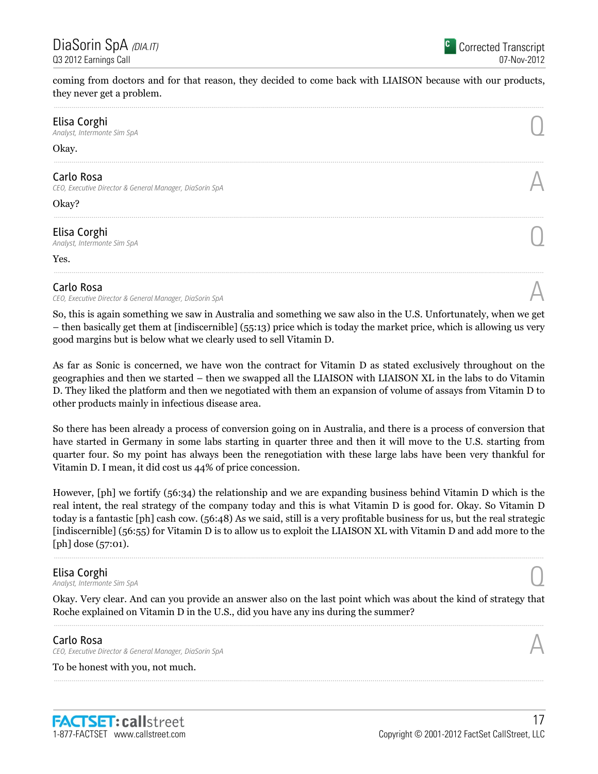coming from doctors and for that reason, they decided to come back with LIAISON because with our products, they never get a problem.

| Elisa Corghi<br>Analyst, Intermonte Sim SpA                           |  |
|-----------------------------------------------------------------------|--|
| Okay.                                                                 |  |
| Carlo Rosa<br>CEO, Executive Director & General Manager, DiaSorin SpA |  |
| Okay?                                                                 |  |
| Elisa Corghi<br>Analyst, Intermonte Sim SpA                           |  |
| Yes.                                                                  |  |
|                                                                       |  |

### Carlo Rosa

CEO, Executive Director & General Manager, DiaSorin SpA

So, this is again something we saw in Australia and something we saw also in the U.S. Unfortunately, when we get – then basically get them at [indiscernible] (55:13) price which is today the market price, which is allowing us very good margins but is below what we clearly used to sell Vitamin D.

As far as Sonic is concerned, we have won the contract for Vitamin D as stated exclusively throughout on the geographies and then we started – then we swapped all the LIAISON with LIAISON XL in the labs to do Vitamin D. They liked the platform and then we negotiated with them an expansion of volume of assays from Vitamin D to other products mainly in infectious disease area.

So there has been already a process of conversion going on in Australia, and there is a process of conversion that have started in Germany in some labs starting in quarter three and then it will move to the U.S. starting from quarter four. So my point has always been the renegotiation with these large labs have been very thankful for Vitamin D. I mean, it did cost us 44% of price concession.

However, [ph] we fortify (56:34) the relationship and we are expanding business behind Vitamin D which is the real intent, the real strategy of the company today and this is what Vitamin D is good for. Okay. So Vitamin D today is a fantastic [ph] cash cow. (56:48) As we said, still is a very profitable business for us, but the real strategic [indiscernible] (56:55) for Vitamin D is to allow us to exploit the LIAISON XL with Vitamin D and add more to the [ph] dose (57:01).

**Elisa Corghi**<br>Analyst, Intermonte Sim SpA **Elisa Corghi**<br>Analyst, Intermonte Sim SpA  $\bigodot$ 

Okay. Very clear. And can you provide an answer also on the last point which was about the kind of strategy that Roche explained on Vitamin D in the U.S., did you have any ins during the summer?

### Carlo Rosa

CEO, Executive Director & General Manager, DiaSorin SpA

To be honest with you, not much.

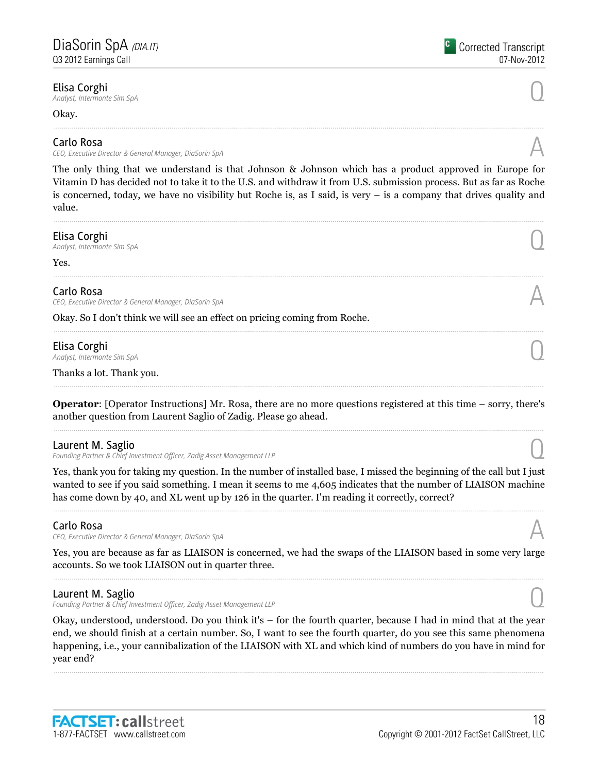**Elisa Corghi**<br>Analyst, Intermonte Sim SpA **Elisa Corghi**<br>Analyst, Intermonte Sim SpA  $\bigodot$ 

Okay.

### Carlo Rosa

CEO, Executive Director & General Manager, DiaSorin SpA

The only thing that we understand is that Johnson & Johnson which has a product approved in Europe for Vitamin D has decided not to take it to the U.S. and withdraw it from U.S. submission process. But as far as Roche is concerned, today, we have no visibility but Roche is, as I said, is very – is a company that drives quality and value.

**Elisa Corghi**<br>Analyst, Intermonte Sim SpA **Elisa Corghi**<br>Analyst, Intermonte Sim SpA  $\bigodot$ 

Yes.

### Carlo Rosa

CEO, Executive Director & General Manager, DiaSorin SpA

Okay. So I don't think we will see an effect on pricing coming from Roche.

## Elisa Corghi

**Elisa Corghi**<br>Analyst, Intermonte Sim SpA  $\bigodot$ 

Thanks a lot. Thank you.

Operator: [Operator Instructions] Mr. Rosa, there are no more questions registered at this time – sorry, there's another question from Laurent Saglio of Zadig. Please go ahead.

### Laurent M. Saglio

Founding Partner & Chief Investment Officer, Zadig Asset Management LLP

Yes, thank you for taking my question. In the number of installed base, I missed the beginning of the call but I just wanted to see if you said something. I mean it seems to me 4,605 indicates that the number of LIAISON machine has come down by 40, and XL went up by 126 in the quarter. I'm reading it correctly, correct?

# Carlo Rosa

CEO, Executive Director & General Manager, DiaSorin SpA

Yes, you are because as far as LIAISON is concerned, we had the swaps of the LIAISON based in some very large accounts. So we took LIAISON out in quarter three.

### Laurent M. Saglio

Founding Partner & Chief Investment Officer, Zadig Asset Management LLP

Okay, understood, understood. Do you think it's – for the fourth quarter, because I had in mind that at the year end, we should finish at a certain number. So, I want to see the fourth quarter, do you see this same phenomena happening, i.e., your cannibalization of the LIAISON with XL and which kind of numbers do you have in mind for year end?







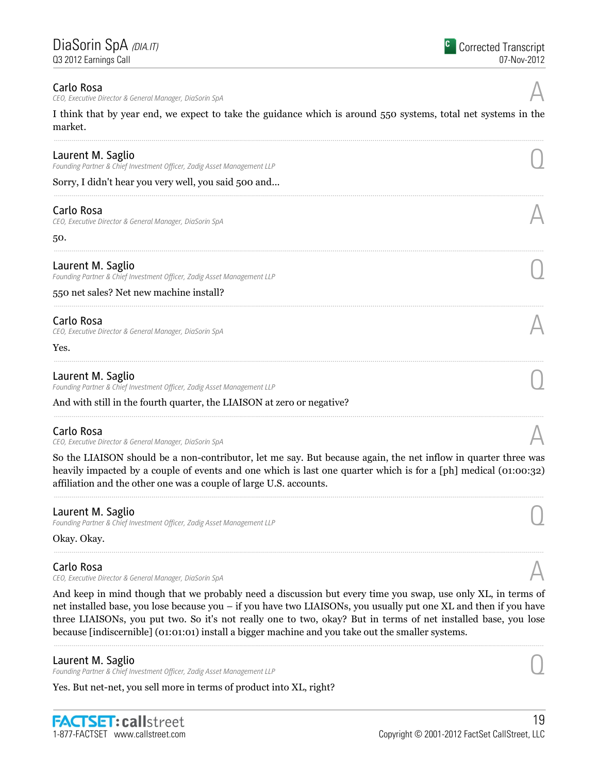CEO, Executive Director & General Manager, DiaSorin SpA

I think that by year end, we expect to take the guidance which is around 550 systems, total net systems in the market.

| Laurent M. Saglio<br>Founding Partner & Chief Investment Officer, Zadig Asset Management LLP |  |
|----------------------------------------------------------------------------------------------|--|
| Sorry, I didn't hear you very well, you said 500 and                                         |  |
| Carlo Rosa<br>CEO, Executive Director & General Manager, DiaSorin SpA                        |  |
| 50.                                                                                          |  |
| Laurent M. Saglio<br>Founding Partner & Chief Investment Officer, Zadig Asset Management LLP |  |
| 550 net sales? Net new machine install?                                                      |  |
| Carlo Rosa<br>CEO, Executive Director & General Manager, DiaSorin SpA                        |  |
| Yes.                                                                                         |  |
| Laurent M. Saglio<br>Founding Partner & Chief Investment Officer, Zadig Asset Management LLP |  |
| And with still in the fourth quarter, the LIAISON at zero or negative?                       |  |

### Carlo Rosa

CEO, Executive Director & General Manager, DiaSorin SpA

So the LIAISON should be a non-contributor, let me say. But because again, the net inflow in quarter three was heavily impacted by a couple of events and one which is last one quarter which is for a [ph] medical (01:00:32) affiliation and the other one was a couple of large U.S. accounts.

### Laurent M. Saglio

Founding Partner & Chief Investment Officer, Zadig Asset Management LLP

Okay. Okay.

### Carlo Rosa

CEO, Executive Director & General Manager, DiaSorin SpA

And keep in mind though that we probably need a discussion but every time you swap, use only XL, in terms of net installed base, you lose because you – if you have two LIAISONs, you usually put one XL and then if you have three LIAISONs, you put two. So it's not really one to two, okay? But in terms of net installed base, you lose because [indiscernible] (01:01:01) install a bigger machine and you take out the smaller systems.

### Laurent M. Saglio

Founding Partner & Chief Investment Officer, Zadig Asset Management LLP

Yes. But net-net, you sell more in terms of product into XL, right?

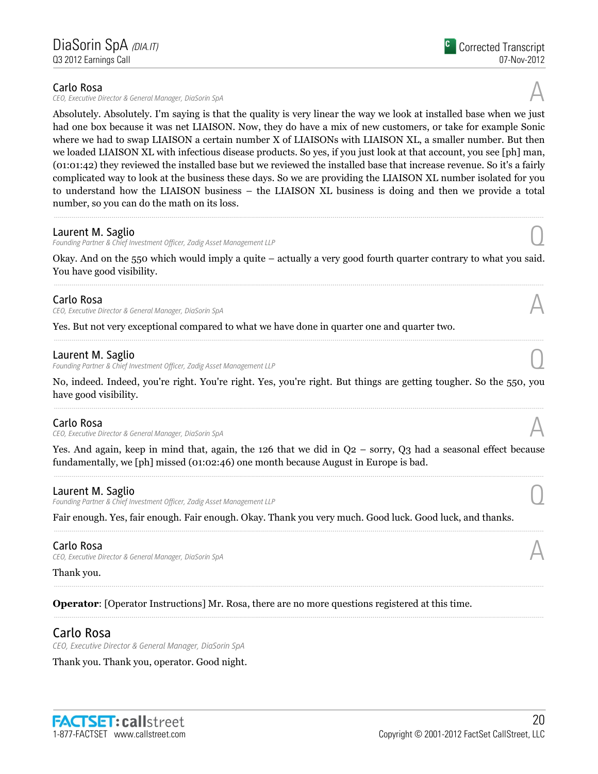CEO, Executive Director & General Manager, DiaSorin SpA

Absolutely. Absolutely. I'm saying is that the quality is very linear the way we look at installed base when we just had one box because it was net LIAISON. Now, they do have a mix of new customers, or take for example Sonic where we had to swap LIAISON a certain number X of LIAISONs with LIAISON XL, a smaller number. But then we loaded LIAISON XL with infectious disease products. So yes, if you just look at that account, you see [ph] man, (01:01:42) they reviewed the installed base but we reviewed the installed base that increase revenue. So it's a fairly

complicated way to look at the business these days. So we are providing the LIAISON XL number isolated for you to understand how the LIAISON business – the LIAISON XL business is doing and then we provide a total number, so you can do the math on its loss.

## Laurent M. Saglio

Founding Partner & Chief Investment Officer, Zadig Asset Management LLP

Okay. And on the 550 which would imply a quite – actually a very good fourth quarter contrary to what you said. You have good visibility.

# Carlo Rosa

CEO, Executive Director & General Manager, DiaSorin SpA

Yes. But not very exceptional compared to what we have done in quarter one and quarter two.

### Laurent M. Saglio

Founding Partner & Chief Investment Officer, Zadig Asset Management LLP

No, indeed. Indeed, you're right. You're right. Yes, you're right. But things are getting tougher. So the 550, you have good visibility.

### Carlo Rosa

CEO, Executive Director & General Manager, DiaSorin SpA

Yes. And again, keep in mind that, again, the 126 that we did in Q2 – sorry, Q3 had a seasonal effect because fundamentally, we [ph] missed (01:02:46) one month because August in Europe is bad.

### Laurent M. Saglio

Founding Partner & Chief Investment Officer, Zadig Asset Management LLP

Fair enough. Yes, fair enough. Fair enough. Okay. Thank you very much. Good luck. Good luck, and thanks.

### Carlo Rosa

CEO, Executive Director & General Manager, DiaSorin SpA

### Thank you.

Operator: [Operator Instructions] Mr. Rosa, there are no more questions registered at this time.

# Carlo Rosa

CEO, Executive Director & General Manager, DiaSorin SpA

Thank you. Thank you, operator. Good night.